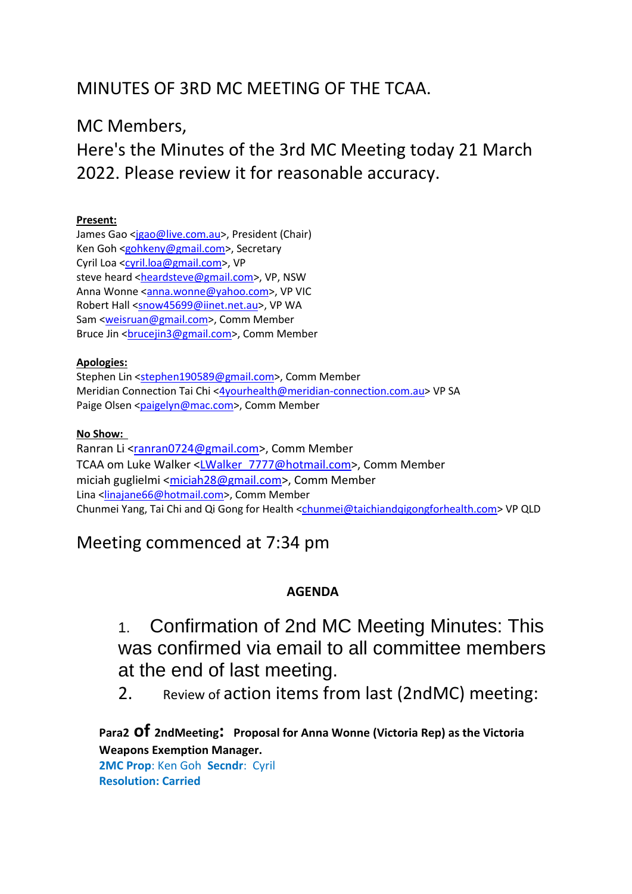# MINUTES OF 3RD MC MEETING OF THE TCAA.

## MC Members,

Here's the Minutes of the 3rd MC Meeting today 21 March 2022. Please review it for reasonable accuracy.

#### **Present:**

James Gao [<jgao@live.com.au>](mailto:jgao@live.com.au), President (Chair) Ken Goh [<gohkeny@gmail.com>](mailto:gohkeny@gmail.com), Secretary Cyril Loa [<cyril.loa@gmail.com>](mailto:cyril.loa@gmail.com), VP steve heard [<heardsteve@gmail.com>](mailto:heardsteve@gmail.com), VP, NSW Anna Wonne [<anna.wonne@yahoo.com>](mailto:anna.wonne@yahoo.com), VP VIC Robert Hall [<snow45699@iinet.net.au>](mailto:snow45699@iinet.net.au), VP WA Sam [<weisruan@gmail.com>](mailto:weisruan@gmail.com), Comm Member Bruce Jin <br />
comm Member<br />
Comm Member

#### **Apologies:**

Stephen Lin [<stephen190589@gmail.com>](mailto:stephen190589@gmail.com), Comm Member Meridian Connection Tai Chi [<4yourhealth@meridian-connection.com.au>](mailto:4yourhealth@meridian-connection.com.au) VP SA Paige Olsen [<paigelyn@mac.com>](mailto:paigelyn@mac.com), Comm Member

#### **No Show:**

Ranran Li [<ranran0724@gmail.com>](mailto:ranran0724@gmail.com), Comm Member TCAA om Luke Walker [<LWalker\\_7777@hotmail.com>](mailto:LWalker_7777@hotmail.com), Comm Member miciah guglielmi [<miciah28@gmail.com>](mailto:miciah28@gmail.com), Comm Member Lina [<linajane66@hotmail.com>](mailto:linajane66@hotmail.com), Comm Member Chunmei Yang, Tai Chi and Qi Gong for Health [<chunmei@taichiandqigongforhealth.com>](mailto:chunmei@taichiandqigongforhealth.com) VP QLD

## Meeting commenced at 7:34 pm

### **AGENDA**

1. Confirmation of 2nd MC Meeting Minutes: This was confirmed via email to all committee members at the end of last meeting.

2. Review of action items from last (2ndMC) meeting:

**Para2 of 2ndMeeting: Proposal for Anna Wonne (Victoria Rep) as the Victoria Weapons Exemption Manager.**

**2MC Prop**: Ken Goh **Secndr**: Cyril **Resolution: Carried**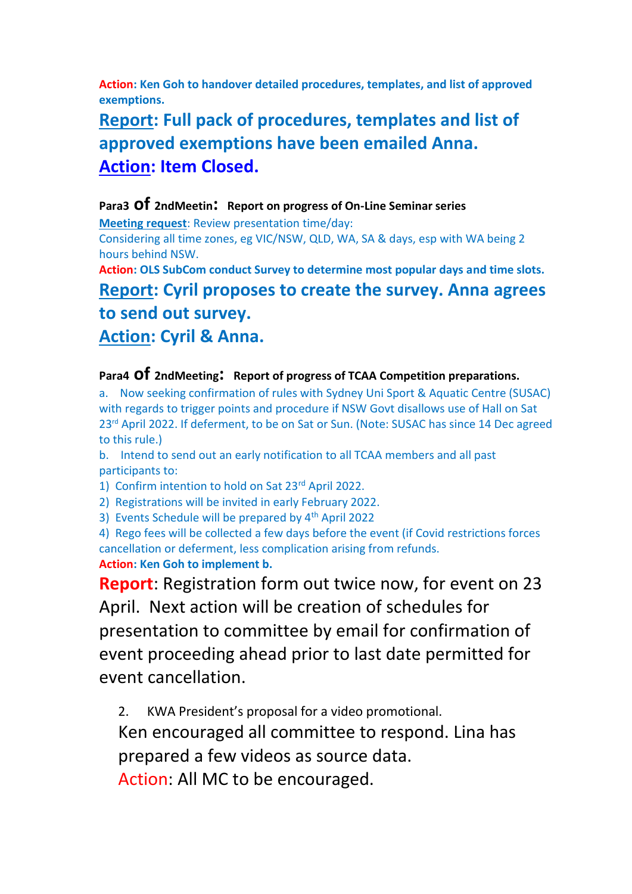**Action: Ken Goh to handover detailed procedures, templates, and list of approved exemptions.**

# **Report: Full pack of procedures, templates and list of approved exemptions have been emailed Anna. Action: Item Closed.**

#### **Para3 of 2ndMeetin: Report on progress of On-Line Seminar series**

**Meeting request**: Review presentation time/day:

Considering all time zones, eg VIC/NSW, QLD, WA, SA & days, esp with WA being 2 hours behind NSW.

**Action: OLS SubCom conduct Survey to determine most popular days and time slots.**

# **Report: Cyril proposes to create the survey. Anna agrees to send out survey. Action: Cyril & Anna.**

### **Para4 of 2ndMeeting: Report of progress of TCAA Competition preparations.**

a. Now seeking confirmation of rules with Sydney Uni Sport & Aquatic Centre (SUSAC) with regards to trigger points and procedure if NSW Govt disallows use of Hall on Sat 23<sup>rd</sup> April 2022. If deferment, to be on Sat or Sun. (Note: SUSAC has since 14 Dec agreed to this rule.)

b. Intend to send out an early notification to all TCAA members and all past participants to:

1) Confirm intention to hold on Sat 23<sup>rd</sup> April 2022.

2) Registrations will be invited in early February 2022.

3) Events Schedule will be prepared by 4th April 2022

4) Rego fees will be collected a few days before the event (if Covid restrictions forces cancellation or deferment, less complication arising from refunds. **Action: Ken Goh to implement b.**

**Report**: Registration form out twice now, for event on 23 April. Next action will be creation of schedules for presentation to committee by email for confirmation of event proceeding ahead prior to last date permitted for event cancellation.

2. KWA President's proposal for a video promotional.

Ken encouraged all committee to respond. Lina has prepared a few videos as source data.

Action: All MC to be encouraged.